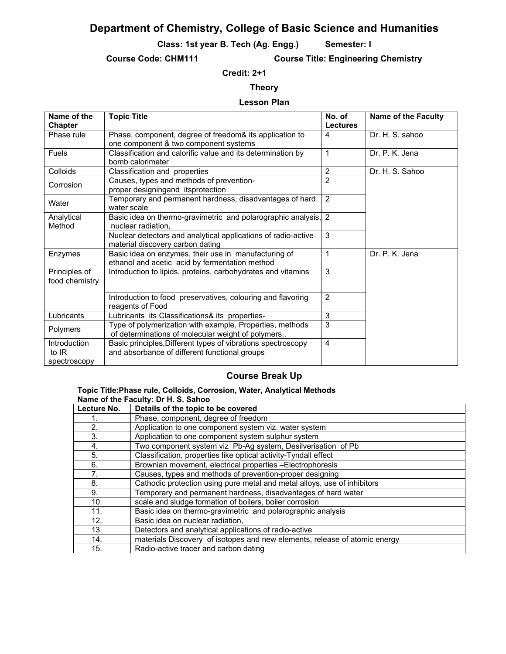# **Department of Chemistry, College of Basic Science and Humanities**

**Class: 1st year B. Tech (Ag. Engg.) Semester: I** 

**Course Code: CHM111 Course Title: Engineering Chemistry** 

## **Credit: 2+1**

## **Theory**

### **Lesson Plan**

| Name of the<br>Chapter                  | <b>Topic Title</b>                                                                                            | No. of<br><b>Lectures</b> | <b>Name of the Faculty</b> |
|-----------------------------------------|---------------------------------------------------------------------------------------------------------------|---------------------------|----------------------------|
| Phase rule                              | Phase, component, degree of freedom& its application to<br>one component & two component systems              | 4                         | Dr. H. S. sahoo            |
| <b>Fuels</b>                            | Classification and calorific value and its determination by<br>bomb calorimeter                               | 1                         | Dr. P. K. Jena             |
| Colloids                                | Classification and properties                                                                                 | 2                         | Dr. H. S. Sahoo            |
| Corrosion                               | Causes, types and methods of prevention-<br>proper designingand itsprotection                                 | $\overline{2}$            |                            |
| Water                                   | Temporary and permanent hardness, disadvantages of hard<br>water scale                                        | $\overline{2}$            |                            |
| Analytical<br>Method                    | Basic idea on thermo-gravimetric and polarographic analysis,<br>nuclear radiation.                            | $\overline{2}$            |                            |
|                                         | Nuclear detectors and analytical applications of radio-active<br>material discovery carbon dating             | 3                         |                            |
| Enzymes                                 | Basic idea on enzymes, their use in manufacturing of<br>ethanol and acetic acid by fermentation method        | 1                         | Dr. P. K. Jena             |
| Principles of<br>food chemistry         | Introduction to lipids, proteins, carbohydrates and vitamins                                                  | 3                         |                            |
|                                         | Introduction to food preservatives, colouring and flavoring<br>reagents of Food                               | $\overline{2}$            |                            |
| Lubricants                              | Lubricants its Classifications& its properties-                                                               | 3                         |                            |
| Polymers                                | Type of polymerization with example, Properties, methods<br>of determinations of molecular weight of polymers | 3                         |                            |
| Introduction<br>to $IR$<br>spectroscopy | Basic principles, Different types of vibrations spectroscopy<br>and absorbance of different functional groups | 4                         |                            |

# **Course Break Up**

#### **Topic Title:Phase rule, Colloids, Corrosion, Water, Analytical Methods Name of the Faculty: Dr H. S. Sahoo**

| Lecture No. | Details of the topic to be covered                                         |
|-------------|----------------------------------------------------------------------------|
|             | Phase, component, degree of freedom                                        |
| 2.          | Application to one component system viz. water system                      |
| 3.          | Application to one component system sulphur system                         |
| 4.          | Two component system viz Pb-Ag system, Desilverisation of Pb               |
| 5.          | Classification, properties like optical activity-Tyndall effect            |
| 6.          | Brownian movement, electrical properties -Electrophoresis                  |
| 7.          | Causes, types and methods of prevention-proper designing                   |
| 8.          | Cathodic protection using pure metal and metal alloys, use of inhibitors   |
| 9.          | Temporary and permanent hardness, disadvantages of hard water              |
| 10.         | scale and sludge formation of boilers, boiler corrosion                    |
| 11.         | Basic idea on thermo-gravimetric and polarographic analysis                |
| 12.         | Basic idea on nuclear radiation,                                           |
| 13.         | Detectors and analytical applications of radio-active                      |
| 14.         | materials Discovery of isotopes and new elements, release of atomic energy |
| 15.         | Radio-active tracer and carbon dating                                      |